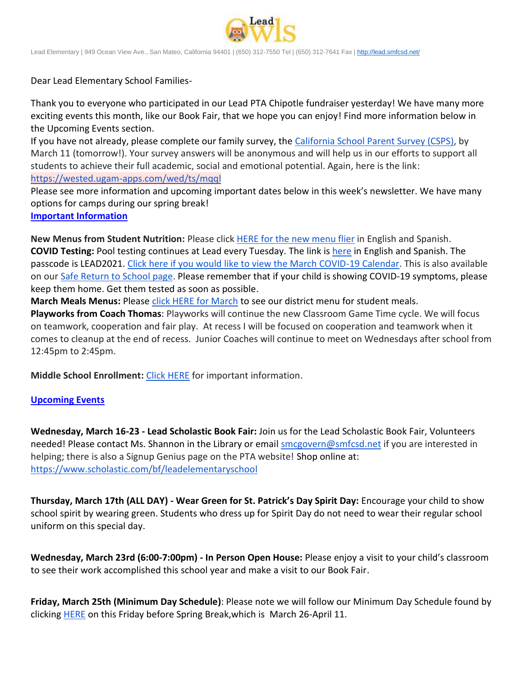

Lead Elementary | 949 Ocean View Ave., San Mateo, California 94401 | (650) 312-7550 Tel | (650) 312-7641 Fax [| http://lead.smfcsd.net/](http://lead.smfcsd.net/)

Dear Lead Elementary School Families-

Thank you to everyone who participated in our Lead PTA Chipotle fundraiser yesterday! We have many more exciting events this month, like our Book Fair, that we hope you can enjoy! Find more information below in the Upcoming Events section.

If you have not already, please complete our family survey, the [California School Parent Survey \(CSPS\),](https://wested.ugam-apps.com/wed/ts/mqql) by March 11 (tomorrow!). Your survey answers will be anonymous and will help us in our efforts to support all students to achieve their full academic, social and emotional potential. Again, here is the link: <https://wested.ugam-apps.com/wed/ts/mqql>

Please see more information and upcoming important dates below in this week's newsletter. We have many options for camps during our spring break!

**Important Information**

**New Menus from Student Nutrition:** Please click HERE for the [new menu flier](https://drive.google.com/file/d/1NZucmLjK7JlNAZmQ1bqsnOXiPjHkIny8/view?usp=sharing) in English and Spanish. **COVID Testing:** Pool testing continues at Lead every Tuesday. The link is [here](https://testcenter.concentricbyginkgo.com/minor-consent/) in English and Spanish. The passcode is LEAD2021. [Click here if you would like to view the March COVID-19 Calendar.](http://www.smfcsd.net/en/assets/files/Communications/COVID-19/COVID-19%20School%20Testing%20-%20March.pdf) This is also available on our [Safe Return to School page.](http://www.smfcsd.net/en/covid-19-updates-resources/covid-19-updates.html) Please remember that if your child is showing COVID-19 symptoms, please keep them home. Get them tested as soon as possible.

**March Meals Menus:** Please [click HERE for March](https://drive.google.com/file/d/1I8hhsV4cMRD2tJaJ0yewpuZ-BIcTTJhA/view?usp=sharing) to see our district menu for student meals.

**Playworks from Coach Thomas**: Playworks will continue the new Classroom Game Time cycle. We will focus on teamwork, cooperation and fair play. At recess I will be focused on cooperation and teamwork when it comes to cleanup at the end of recess. Junior Coaches will continue to meet on Wednesdays after school from 12:45pm to 2:45pm.

**Middle School Enrollment:** [Click HERE](https://docs.google.com/document/d/1YPp9LadfM5jW6Or2HwbamBkgYn13EpXeB_jGxqV_0J0/edit?usp=sharing) for important information.

## **Upcoming Events**

**Wednesday, March 16-23 - Lead Scholastic Book Fair:** Join us for the Lead Scholastic Book Fair, Volunteers needed! Please contact Ms. Shannon in the Library or email [smcgovern@smfcsd.net](mailto:smcgovern@smfcsd.net) if you are interested in helping; there is also a Signup Genius page on the PTA website! Shop online at: <https://www.scholastic.com/bf/leadelementaryschool>

**Thursday, March 17th (ALL DAY) - Wear Green for St. Patrick's Day Spirit Day:** Encourage your child to show school spirit by wearing green. Students who dress up for Spirit Day do not need to wear their regular school uniform on this special day.

**Wednesday, March 23rd (6:00-7:00pm) - In Person Open House:** Please enjoy a visit to your child's classroom to see their work accomplished this school year and make a visit to our Book Fair.

**Friday, March 25th (Minimum Day Schedule)**: Please note we will follow our Minimum Day Schedule found by clicking **[HERE](https://drive.google.com/file/d/1MubdqKmB9dvSEzOFFg_MljXu8Dclin1L/view?usp=sharing)** on this Friday before Spring Break, which is March 26-April 11.